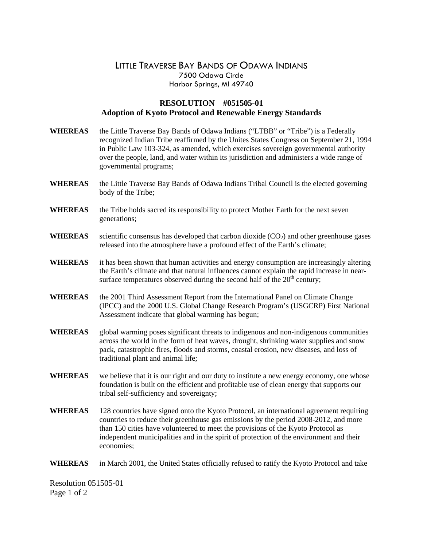## LITTLE TRAVERSE BAY BANDS OF ODAWA INDIANS 7500 Odawa Circle Harbor Springs, MI 49740

## **RESOLUTION #051505-01 Adoption of Kyoto Protocol and Renewable Energy Standards**

| <b>WHEREAS</b> | the Little Traverse Bay Bands of Odawa Indians ("LTBB" or "Tribe") is a Federally<br>recognized Indian Tribe reaffirmed by the Unites States Congress on September 21, 1994<br>in Public Law 103-324, as amended, which exercises sovereign governmental authority<br>over the people, land, and water within its jurisdiction and administers a wide range of<br>governmental programs; |  |  |  |
|----------------|------------------------------------------------------------------------------------------------------------------------------------------------------------------------------------------------------------------------------------------------------------------------------------------------------------------------------------------------------------------------------------------|--|--|--|
| <b>WHEREAS</b> | the Little Traverse Bay Bands of Odawa Indians Tribal Council is the elected governing<br>body of the Tribe;                                                                                                                                                                                                                                                                             |  |  |  |
| <b>WHEREAS</b> | the Tribe holds sacred its responsibility to protect Mother Earth for the next seven<br>generations;                                                                                                                                                                                                                                                                                     |  |  |  |
| <b>WHEREAS</b> | scientific consensus has developed that carbon dioxide $(CO2)$ and other greenhouse gases<br>released into the atmosphere have a profound effect of the Earth's climate;                                                                                                                                                                                                                 |  |  |  |
| <b>WHEREAS</b> | it has been shown that human activities and energy consumption are increasingly altering<br>the Earth's climate and that natural influences cannot explain the rapid increase in near-<br>surface temperatures observed during the second half of the 20 <sup>th</sup> century;                                                                                                          |  |  |  |
| <b>WHEREAS</b> | the 2001 Third Assessment Report from the International Panel on Climate Change<br>(IPCC) and the 2000 U.S. Global Change Research Program's (USGCRP) First National<br>Assessment indicate that global warming has begun;                                                                                                                                                               |  |  |  |
| <b>WHEREAS</b> | global warming poses significant threats to indigenous and non-indigenous communities<br>across the world in the form of heat waves, drought, shrinking water supplies and snow<br>pack, catastrophic fires, floods and storms, coastal erosion, new diseases, and loss of<br>traditional plant and animal life;                                                                         |  |  |  |
| <b>WHEREAS</b> | we believe that it is our right and our duty to institute a new energy economy, one whose<br>foundation is built on the efficient and profitable use of clean energy that supports our<br>tribal self-sufficiency and sovereignty;                                                                                                                                                       |  |  |  |
| <b>WHEREAS</b> | 128 countries have signed onto the Kyoto Protocol, an international agreement requiring<br>countries to reduce their greenhouse gas emissions by the period 2008-2012, and more<br>than 150 cities have volunteered to meet the provisions of the Kyoto Protocol as<br>independent municipalities and in the spirit of protection of the environment and their<br>economies;             |  |  |  |

**WHEREAS** in March 2001, the United States officially refused to ratify the Kyoto Protocol and take

Resolution 051505-01 Page 1 of 2